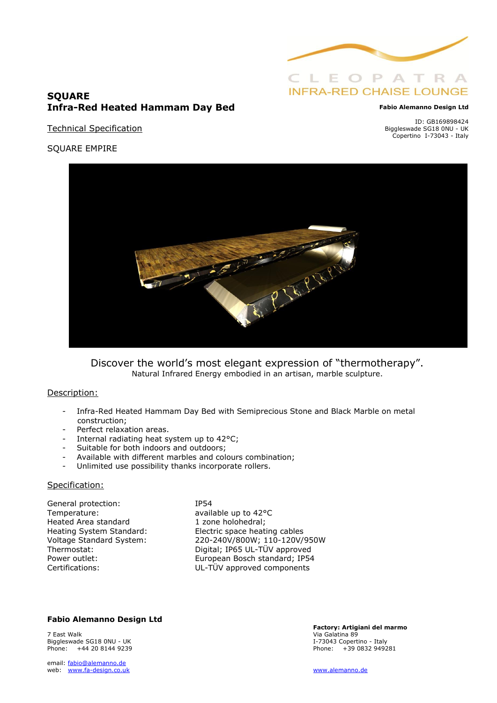

# **SQUARE Infra-Red Heated Hammam Day Bed**

Technical Specification

#### **Fabio Alemanno Design Ltd**

ID: GB169898424 Biggleswade SG18 0NU - UK Copertino I-73043 - Italy

SQUARE EMPIRE



Discover the world's most elegant expression of "thermotherapy". Natural Infrared Energy embodied in an artisan, marble sculpture.

#### Description:

- Infra-Red Heated Hammam Day Bed with Semiprecious Stone and Black Marble on metal construction;
- Perfect relaxation areas.
- Internal radiating heat system up to 42°C;
- Suitable for both indoors and outdoors:
- Available with different marbles and colours combination;
- Unlimited use possibility thanks incorporate rollers.

#### Specification:

General protection: IP54 Temperature: available up to 42°C Heated Area standard 1 zone holohedral;

Heating System Standard: Electric space heating cables<br>Voltage Standard System: 220-240V/800W; 110-120V/ Voltage Standard System: 220-240V/800W; 110-120V/950W Thermostat: Digital; IP65 UL-TÜV approved Power outlet: European Bosch standard; IP54 Certifications: UL-TÜV approved components

### **Fabio Alemanno Design Ltd**

7 East Walk Via Galatina 89 Biggleswade SG18 0NU - UK **I-73043** Copertino - Italy Phone: +44 20 8144 9239 Phone: +39 0832 949281

email: [fabio@alemanno.de](mailto:fabio@alemanno.de)  web: [www.fa-design.co.uk](http://www.fa-design.co.uk/) [www.alemanno.de](http://www.alemanno.de/)

**Factory: Artigiani del marmo**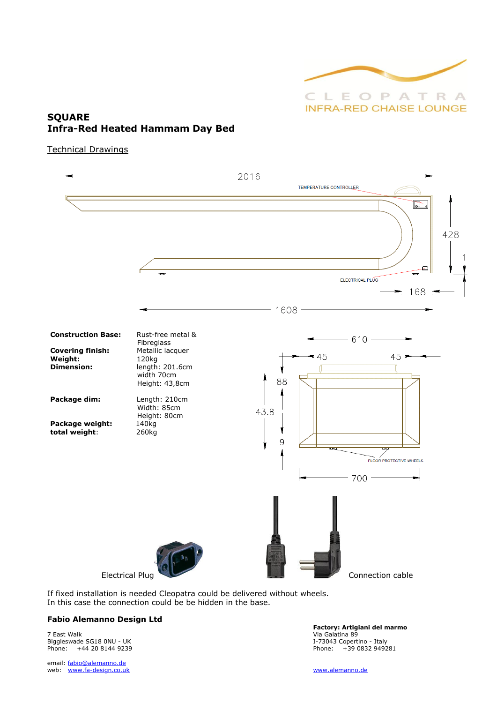

# **SQUARE Infra-Red Heated Hammam Day Bed**

Technical Drawings



If fixed installation is needed Cleopatra could be delivered without wheels. In this case the connection could be be hidden in the base.

### **Fabio Alemanno Design Ltd**

7 East Walk Via Galatina 89 Biggleswade SG18 0NU - UK and the UK is a state of the UK in the UK of the UK is a state of the UK is a state of the UK is a state of the UK is a state of the UK is a state of the UK is a state of the UK is a state of the

email: [fabio@alemanno.de](mailto:fabio@alemanno.de)  web: [www.fa-design.co.uk](http://www.fa-design.co.uk/) [www.alemanno.de](http://www.alemanno.de/)

**Factory: Artigiani del marmo**  Phone: +44 20 8144 9239 Phone: +39 0832 949281